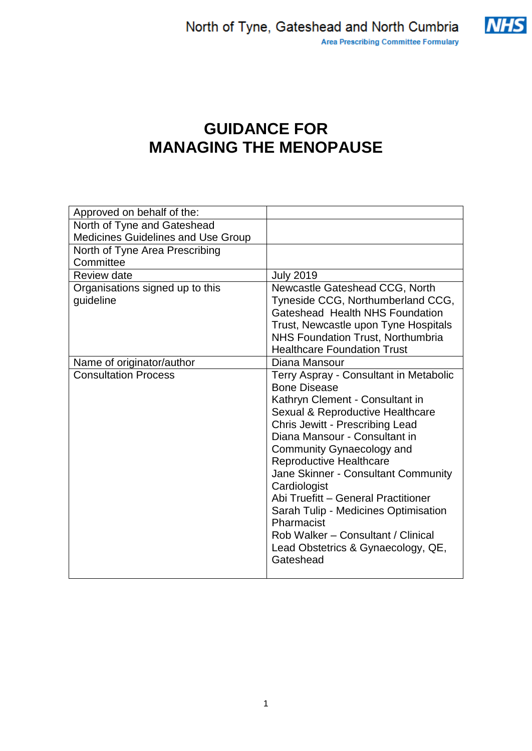

# **GUIDANCE FOR MANAGING THE MENOPAUSE**

| Approved on behalf of the:                |                                          |
|-------------------------------------------|------------------------------------------|
| North of Tyne and Gateshead               |                                          |
| <b>Medicines Guidelines and Use Group</b> |                                          |
| North of Tyne Area Prescribing            |                                          |
| Committee                                 |                                          |
| <b>Review date</b>                        | <b>July 2019</b>                         |
| Organisations signed up to this           | Newcastle Gateshead CCG, North           |
| guideline                                 | Tyneside CCG, Northumberland CCG,        |
|                                           | Gateshead Health NHS Foundation          |
|                                           | Trust, Newcastle upon Tyne Hospitals     |
|                                           | <b>NHS Foundation Trust, Northumbria</b> |
|                                           | <b>Healthcare Foundation Trust</b>       |
| Name of originator/author                 | Diana Mansour                            |
| <b>Consultation Process</b>               | Terry Aspray - Consultant in Metabolic   |
|                                           | <b>Bone Disease</b>                      |
|                                           | Kathryn Clement - Consultant in          |
|                                           | Sexual & Reproductive Healthcare         |
|                                           | <b>Chris Jewitt - Prescribing Lead</b>   |
|                                           | Diana Mansour - Consultant in            |
|                                           | Community Gynaecology and                |
|                                           | <b>Reproductive Healthcare</b>           |
|                                           | Jane Skinner - Consultant Community      |
|                                           | Cardiologist                             |
|                                           | Abi Truefitt - General Practitioner      |
|                                           | Sarah Tulip - Medicines Optimisation     |
|                                           | Pharmacist                               |
|                                           | Rob Walker - Consultant / Clinical       |
|                                           | Lead Obstetrics & Gynaecology, QE,       |
|                                           | Gateshead                                |
|                                           |                                          |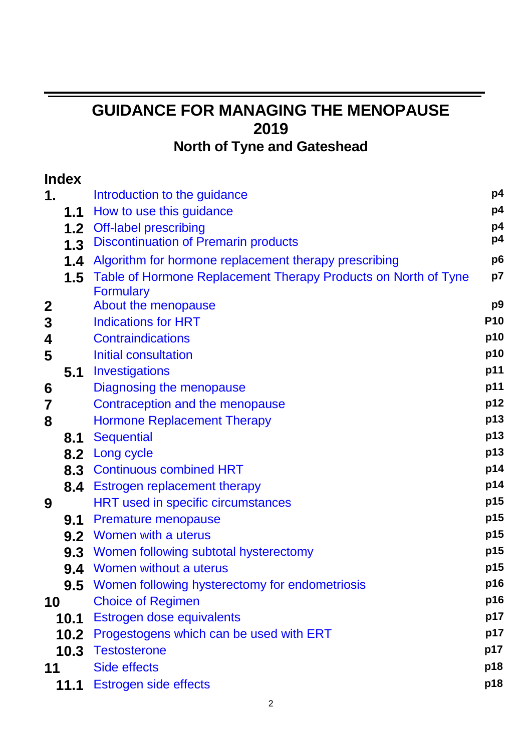# **GUIDANCE FOR MANAGING THE MENOPAUSE 2019 North of Tyne and Gateshead**

|             | <b>Index</b>     |                                                                           |                 |
|-------------|------------------|---------------------------------------------------------------------------|-----------------|
| 1.          |                  | Introduction to the guidance                                              | p4              |
|             | 1.1              | How to use this guidance                                                  | p4              |
|             | 1.2 <sub>2</sub> | <b>Off-label prescribing</b>                                              | p4              |
|             | 1.3              | <b>Discontinuation of Premarin products</b>                               | p4              |
|             | 1.4              | Algorithm for hormone replacement therapy prescribing                     | p <sub>6</sub>  |
|             |                  | <b>1.5</b> Table of Hormone Replacement Therapy Products on North of Tyne | p7              |
|             |                  | <b>Formulary</b>                                                          |                 |
| $\mathbf 2$ |                  | About the menopause                                                       | p <sub>9</sub>  |
| 3           |                  | <b>Indications for HRT</b>                                                | P <sub>10</sub> |
| 4           |                  | <b>Contraindications</b>                                                  | p10             |
| 5           |                  | Initial consultation                                                      | p10             |
|             | 5.1              | Investigations                                                            | p11             |
| 6           |                  | Diagnosing the menopause                                                  | p11             |
| 7           |                  | Contraception and the menopause                                           | p12             |
| 8           |                  | <b>Hormone Replacement Therapy</b>                                        | p13             |
|             | 8.1              | <b>Sequential</b>                                                         | p13             |
|             | 8.2              | <b>Long cycle</b>                                                         | p13             |
|             |                  | 8.3 Continuous combined HRT                                               | p14             |
|             | 8.4              | <b>Estrogen replacement therapy</b>                                       | p14             |
| 9           |                  | <b>HRT used in specific circumstances</b>                                 | p15             |
|             | 9.1              | <b>Premature menopause</b>                                                | p15             |
|             |                  | 9.2 Women with a uterus                                                   | p15             |
|             |                  | <b>9.3</b> Women following subtotal hysterectomy                          | p15             |
|             | 9.4              | Women without a uterus                                                    | p15             |
|             |                  | <b>9.5</b> Women following hysterectomy for endometriosis                 | p16             |
| 10          |                  | <b>Choice of Regimen</b>                                                  | p16             |
|             |                  | <b>10.1</b> Estrogen dose equivalents                                     | p17             |
|             |                  | <b>10.2</b> Progestogens which can be used with ERT                       | p17             |
|             |                  | 10.3 Testosterone                                                         | p17             |
| 11          |                  | Side effects                                                              | p18             |
|             |                  | 11.1 Estrogen side effects                                                | p18             |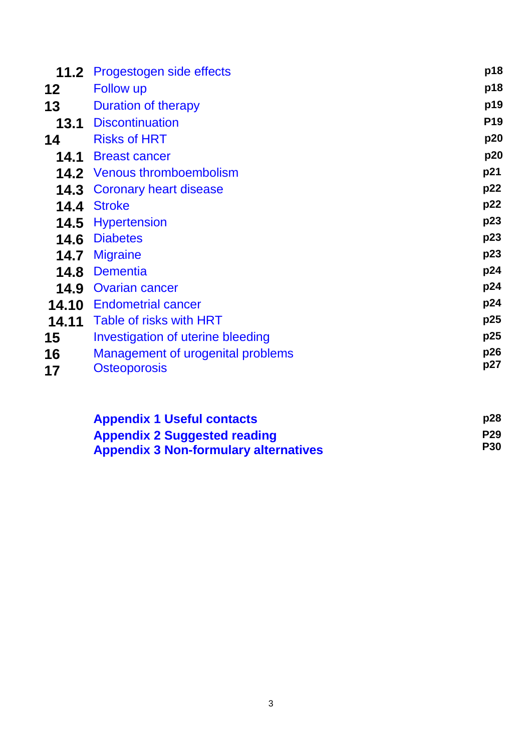| 11.2  | Progestogen side effects          | p18             |
|-------|-----------------------------------|-----------------|
| 12    | <b>Follow up</b>                  | p18             |
| 13    | Duration of therapy               | p19             |
| 13.1  | <b>Discontinuation</b>            | P <sub>19</sub> |
| 14    | <b>Risks of HRT</b>               | p20             |
| 14.1  | <b>Breast cancer</b>              | p20             |
| 14.2  | <b>Venous thromboembolism</b>     | p21             |
| 14.3  | Coronary heart disease            | p22             |
| 14.4  | <b>Stroke</b>                     | p22             |
| 14.5  | <b>Hypertension</b>               | p23             |
| 14.6  | <b>Diabetes</b>                   | p23             |
| 14.7  | <b>Migraine</b>                   | p23             |
| 14.8  | <b>Dementia</b>                   | p24             |
| 14.9  | <b>Ovarian cancer</b>             | p24             |
| 14.10 | <b>Endometrial cancer</b>         | p24             |
| 14.11 | Table of risks with HRT           | p25             |
| 15    | Investigation of uterine bleeding | p25             |
| 16    | Management of urogenital problems | p26             |
| 17    | <b>Osteoporosis</b>               | p27             |
|       |                                   |                 |

| <b>Appendix 1 Useful contacts</b>            | p28        |
|----------------------------------------------|------------|
| <b>Appendix 2 Suggested reading</b>          | <b>P29</b> |
| <b>Appendix 3 Non-formulary alternatives</b> | <b>P30</b> |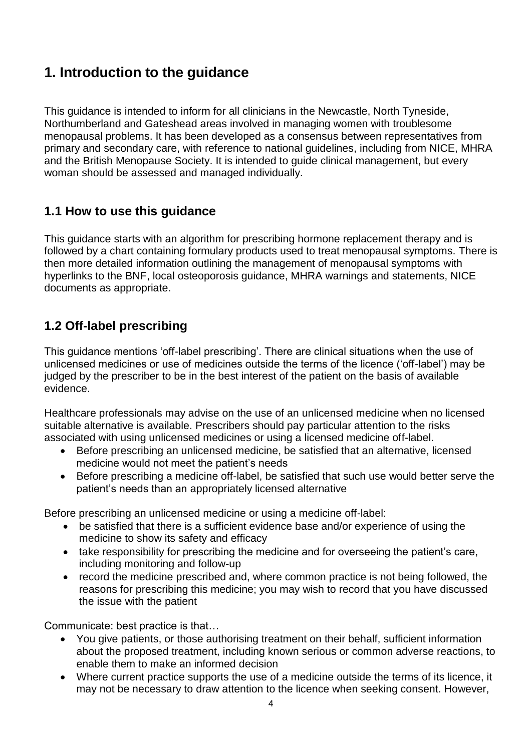## <span id="page-3-0"></span>**1. Introduction to the guidance**

This guidance is intended to inform for all clinicians in the Newcastle, North Tyneside, Northumberland and Gateshead areas involved in managing women with troublesome menopausal problems. It has been developed as a consensus between representatives from primary and secondary care, with reference to national guidelines, including from NICE, MHRA and the British Menopause Society. It is intended to guide clinical management, but every woman should be assessed and managed individually.

## <span id="page-3-1"></span>**1.1 How to use this guidance**

This guidance starts with an algorithm for prescribing hormone replacement therapy and is followed by a chart containing formulary products used to treat menopausal symptoms. There is then more detailed information outlining the management of menopausal symptoms with hyperlinks to the BNF, local osteoporosis guidance, MHRA warnings and statements, NICE documents as appropriate.

## <span id="page-3-2"></span>**1.2 Off-label prescribing**

This guidance mentions 'off-label prescribing'. There are clinical situations when the use of unlicensed medicines or use of medicines outside the terms of the licence ('off-label') may be judged by the prescriber to be in the best interest of the patient on the basis of available evidence.

Healthcare professionals may advise on the use of an unlicensed medicine when no licensed suitable alternative is available. Prescribers should pay particular attention to the risks associated with using unlicensed medicines or using a licensed medicine off-label.

- Before prescribing an unlicensed medicine, be satisfied that an alternative, licensed medicine would not meet the patient's needs
- Before prescribing a medicine off-label, be satisfied that such use would better serve the patient's needs than an appropriately licensed alternative

Before prescribing an unlicensed medicine or using a medicine off-label:

- be satisfied that there is a sufficient evidence base and/or experience of using the medicine to show its safety and efficacy
- take responsibility for prescribing the medicine and for overseeing the patient's care, including monitoring and follow-up
- record the medicine prescribed and, where common practice is not being followed, the reasons for prescribing this medicine; you may wish to record that you have discussed the issue with the patient

Communicate: best practice is that…

- You give patients, or those authorising treatment on their behalf, sufficient information about the proposed treatment, including known serious or common adverse reactions, to enable them to make an informed decision
- Where current practice supports the use of a medicine outside the terms of its licence, it may not be necessary to draw attention to the licence when seeking consent. However,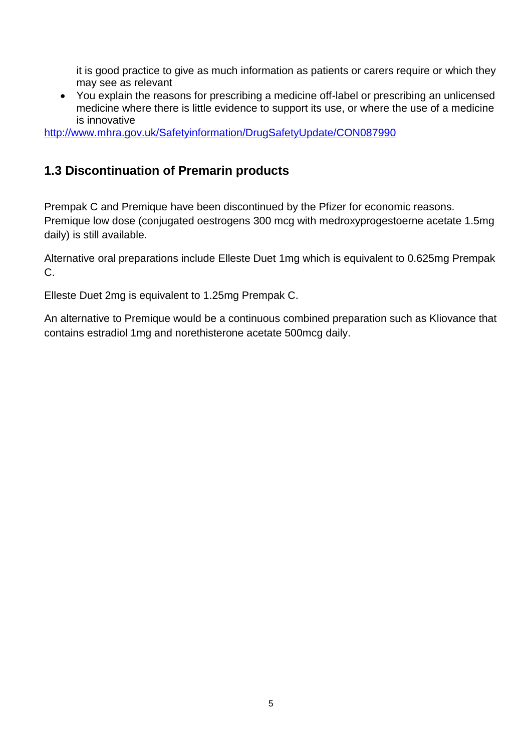it is good practice to give as much information as patients or carers require or which they may see as relevant

 You explain the reasons for prescribing a medicine off-label or prescribing an unlicensed medicine where there is little evidence to support its use, or where the use of a medicine is innovative

<http://www.mhra.gov.uk/Safetyinformation/DrugSafetyUpdate/CON087990>

## **1.3 Discontinuation of Premarin products**

Prempak C and Premique have been discontinued by the Pfizer for economic reasons. Premique low dose (conjugated oestrogens 300 mcg with medroxyprogestoerne acetate 1.5mg daily) is still available.

Alternative oral preparations include Elleste Duet 1mg which is equivalent to 0.625mg Prempak C.

Elleste Duet 2mg is equivalent to 1.25mg Prempak C.

An alternative to Premique would be a continuous combined preparation such as Kliovance that contains estradiol 1mg and norethisterone acetate 500mcg daily.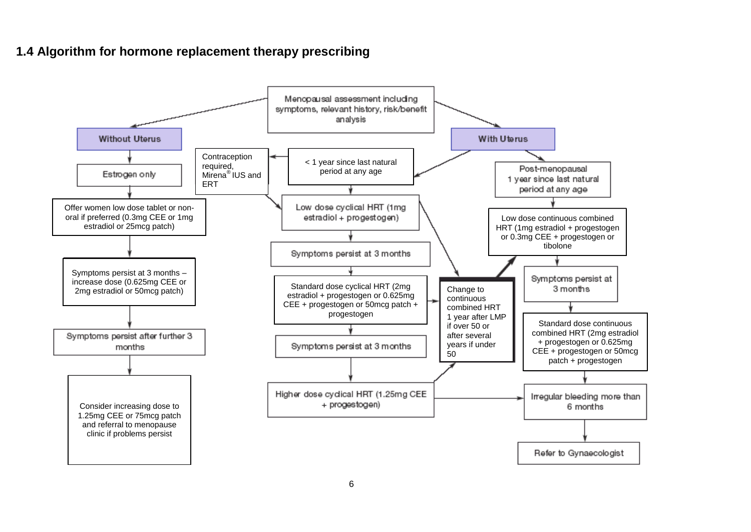## **1.4 Algorithm for hormone replacement therapy prescribing**

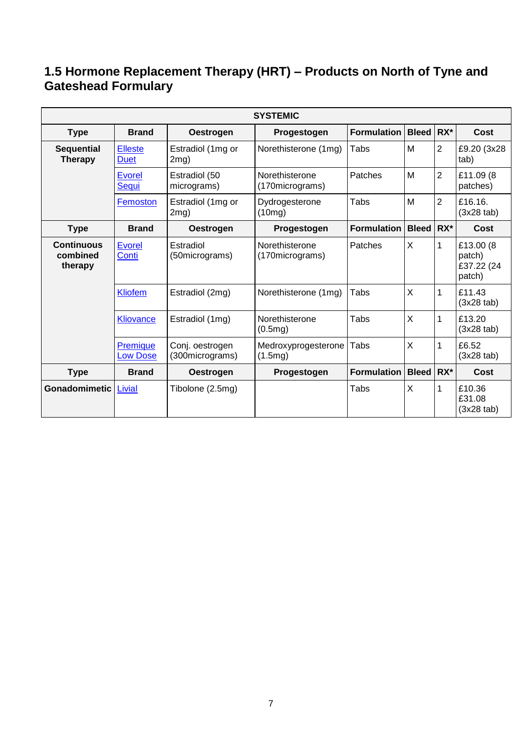## <span id="page-6-0"></span>**1.5 Hormone Replacement Therapy (HRT) – Products on North of Tyne and Gateshead Formulary**

| <b>SYSTEMIC</b>                          |                               |                                    |                                   |                    |                |                |                                              |
|------------------------------------------|-------------------------------|------------------------------------|-----------------------------------|--------------------|----------------|----------------|----------------------------------------------|
| <b>Type</b>                              | <b>Brand</b>                  | Oestrogen                          | Progestogen                       | <b>Formulation</b> | <b>Bleed</b>   | $RX^*$         | Cost                                         |
| <b>Sequential</b><br><b>Therapy</b>      | <b>Elleste</b><br><b>Duet</b> | Estradiol (1mg or<br>$2mg$ )       | Norethisterone (1mg)              | Tabs               | M              | $\overline{2}$ | £9.20 (3x28)<br>tab)                         |
|                                          | <b>Evorel</b><br>Sequi        | Estradiol (50<br>micrograms)       | Norethisterone<br>(170micrograms) | Patches            | M              | $\overline{2}$ | £11.09 (8)<br>patches)                       |
|                                          | Femoston                      | Estradiol (1mg or<br>$2mg$ )       | Dydrogesterone<br>(10mg)          | Tabs               | M              | $\overline{2}$ | £16.16.<br>$(3x28$ tab)                      |
| <b>Type</b>                              | <b>Brand</b>                  | <b>Oestrogen</b>                   | Progestogen                       | <b>Formulation</b> | <b>Bleed</b>   | $RX^*$         | Cost                                         |
| <b>Continuous</b><br>combined<br>therapy | <b>Evorel</b><br>Conti        | Estradiol<br>(50micrograms)        | Norethisterone<br>(170micrograms) | Patches            | X              | 1              | £13.00 (8)<br>patch)<br>£37.22 (24<br>patch) |
|                                          | <b>Kliofem</b>                | Estradiol (2mg)                    | Norethisterone (1mg)              | Tabs               | $\overline{X}$ | 1              | £11.43<br>$(3x28$ tab)                       |
|                                          | <b>Kliovance</b>              | Estradiol (1mg)                    | Norethisterone<br>(0.5mg)         | Tabs               | $\overline{X}$ | 1              | £13.20<br>$(3x28$ tab)                       |
|                                          | Premique<br><b>Low Dose</b>   | Conj. oestrogen<br>(300micrograms) | Medroxyprogesterone<br>(1.5mg)    | Tabs               | X              | 1              | £6.52<br>$(3x28$ tab)                        |
| <b>Type</b>                              | <b>Brand</b>                  | <b>Oestrogen</b>                   | Progestogen                       | <b>Formulation</b> | <b>Bleed</b>   | RX*            | Cost                                         |
| Gonadomimetic                            | <b>Livial</b>                 | Tibolone (2.5mg)                   |                                   | Tabs               | X              | 1              | £10.36<br>£31.08<br>$(3x28$ tab)             |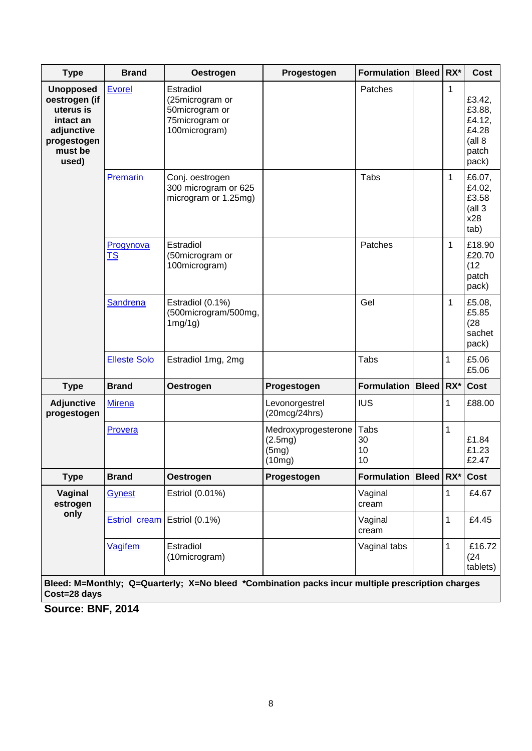| <b>Type</b>                                                                                                  | <b>Brand</b>           | <b>Oestrogen</b>                                                                                                              | Progestogen                                       | <b>Formulation Bleed</b> |              | RX*          | <b>Cost</b>                                                      |
|--------------------------------------------------------------------------------------------------------------|------------------------|-------------------------------------------------------------------------------------------------------------------------------|---------------------------------------------------|--------------------------|--------------|--------------|------------------------------------------------------------------|
| <b>Unopposed</b><br>oestrogen (if<br>uterus is<br>intact an<br>adjunctive<br>progestogen<br>must be<br>used) | Evorel                 | Estradiol<br>(25microgram or<br>50microgram or<br>75microgram or<br>100microgram)                                             |                                                   | Patches                  |              | 1            | £3.42,<br>£3.88,<br>£4.12,<br>£4.28<br>(all 8)<br>patch<br>pack) |
|                                                                                                              | Premarin               | Conj. oestrogen<br>300 microgram or 625<br>microgram or 1.25mg)                                                               |                                                   | Tabs                     |              | $\mathbf{1}$ | £6.07,<br>£4.02,<br>£3.58<br>(all <sub>3</sub> )<br>x28<br>tab)  |
|                                                                                                              | Progynova<br><u>TS</u> | Estradiol<br>(50microgram or<br>100microgram)                                                                                 |                                                   | Patches                  |              | 1            | £18.90<br>£20.70<br>(12)<br>patch<br>pack)                       |
|                                                                                                              | <b>Sandrena</b>        | Estradiol (0.1%)<br>(500microgram/500mg,<br>$1mg/1g$ )                                                                        |                                                   | Gel                      |              | 1            | £5.08,<br>£5.85<br>(28)<br>sachet<br>pack)                       |
|                                                                                                              | <b>Elleste Solo</b>    | Estradiol 1mg, 2mg                                                                                                            |                                                   | Tabs                     |              | 1            | £5.06<br>£5.06                                                   |
| <b>Type</b>                                                                                                  | <b>Brand</b>           | <b>Oestrogen</b>                                                                                                              | Progestogen                                       | <b>Formulation</b>       | <b>Bleed</b> | RX*          | Cost                                                             |
| <b>Adjunctive</b><br>progestogen                                                                             | <b>Mirena</b>          |                                                                                                                               | Levonorgestrel<br>(20mcg/24hrs)                   | <b>IUS</b>               |              | 1            | £88.00                                                           |
|                                                                                                              | Provera                |                                                                                                                               | Medroxyprogesterone<br>(2.5mg)<br>(5mg)<br>(10mg) | Tabs<br>30<br>10<br>10   |              | 1            | £1.84<br>£1.23<br>£2.47                                          |
| <b>Type</b>                                                                                                  | <b>Brand</b>           | <b>Oestrogen</b>                                                                                                              | Progestogen                                       | <b>Formulation</b>       | <b>Bleed</b> | $RX^*$       | Cost                                                             |
| Vaginal<br>estrogen                                                                                          | <b>Gynest</b>          | Estriol (0.01%)                                                                                                               |                                                   | Vaginal<br>cream         |              | 1            | £4.67                                                            |
| only                                                                                                         | Estriol cream          | Estriol (0.1%)                                                                                                                |                                                   | Vaginal<br>cream         |              | $\mathbf 1$  | £4.45                                                            |
|                                                                                                              | Vagifem                | Estradiol<br>(10microgram)<br>Place M-Manthly: 0-Quarterly: Y-Ne blood *Cambination packs inqur multiple preservation oberase |                                                   | Vaginal tabs             |              | 1            | £16.72<br>(24)<br>tablets)                                       |

**Bleed: M=Monthly; Q=Quarterly; X=No bleed \*Combination packs incur multiple prescription charges Cost=28 days** 

**Source: BNF, 2014**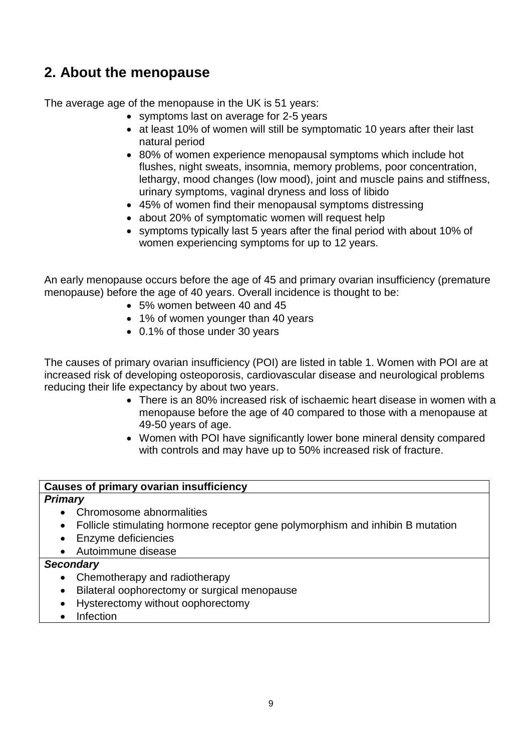## <span id="page-8-0"></span>**2. About the menopause**

The average age of the menopause in the UK is 51 years:

- symptoms last on average for 2-5 years
- at least 10% of women will still be symptomatic 10 years after their last natural period
- 80% of women experience menopausal symptoms which include hot flushes, night sweats, insomnia, memory problems, poor concentration, lethargy, mood changes (low mood), joint and muscle pains and stiffness, urinary symptoms, vaginal dryness and loss of libido
- 45% of women find their menopausal symptoms distressing
- about 20% of symptomatic women will request help
- symptoms typically last 5 years after the final period with about 10% of women experiencing symptoms for up to 12 years.

An early menopause occurs before the age of 45 and primary ovarian insufficiency (premature menopause) before the age of 40 years. Overall incidence is thought to be:

- 5% women between 40 and 45
- 1% of women younger than 40 years
- 0.1% of those under 30 years

The causes of primary ovarian insufficiency (POI) are listed in table 1. Women with POI are at increased risk of developing osteoporosis, cardiovascular disease and neurological problems reducing their life expectancy by about two years.

- There is an 80% increased risk of ischaemic heart disease in women with a menopause before the age of 40 compared to those with a menopause at 49-50 years of age.
- Women with POI have significantly lower bone mineral density compared with controls and may have up to 50% increased risk of fracture.

#### **Causes of primary ovarian insufficiency**

#### *Primary*

- Chromosome abnormalities
- Follicle stimulating hormone receptor gene polymorphism and inhibin B mutation
- Enzyme deficiencies
- Autoimmune disease

#### *Secondary*

- Chemotherapy and radiotherapy
- Bilateral oophorectomy or surgical menopause
- Hysterectomy without oophorectomy
- Infection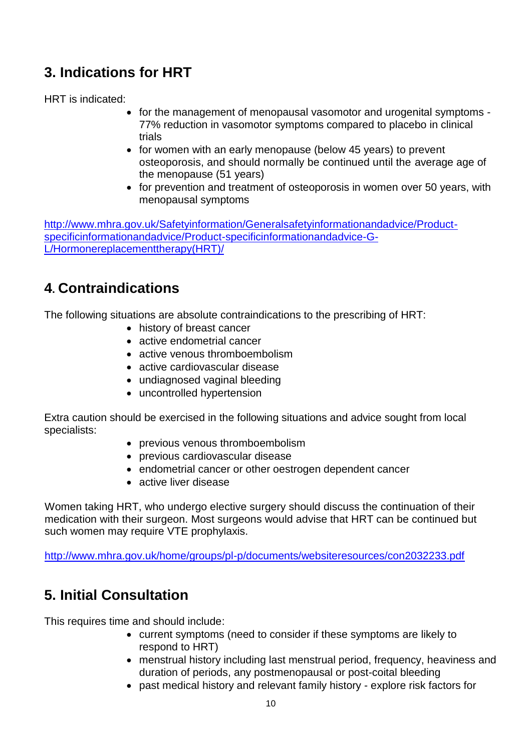# **3. Indications for HRT**

HRT is indicated:

- <span id="page-9-0"></span>• for the management of menopausal vasomotor and urogenital symptoms -77% reduction in vasomotor symptoms compared to placebo in clinical trials
- for women with an early menopause (below 45 years) to prevent osteoporosis, and should normally be continued until the average age of the menopause (51 years)
- for prevention and treatment of osteoporosis in women over 50 years, with menopausal symptoms

[http://www.mhra.gov.uk/Safetyinformation/Generalsafetyinformationandadvice/Product](http://www.mhra.gov.uk/Safetyinformation/Generalsafetyinformationandadvice/Product-specificinformationandadvice/Product-specificinformationandadvice-G-L/Hormonereplacementtherapy(HRT)/)[specificinformationandadvice/Product-specificinformationandadvice-G-](http://www.mhra.gov.uk/Safetyinformation/Generalsafetyinformationandadvice/Product-specificinformationandadvice/Product-specificinformationandadvice-G-L/Hormonereplacementtherapy(HRT)/)[L/Hormonereplacementtherapy\(HRT\)/](http://www.mhra.gov.uk/Safetyinformation/Generalsafetyinformationandadvice/Product-specificinformationandadvice/Product-specificinformationandadvice-G-L/Hormonereplacementtherapy(HRT)/)

# **4. Contraindications**

The following situations are absolute contraindications to the prescribing of HRT:

- <span id="page-9-1"></span>• history of breast cancer
- active endometrial cancer
- active venous thromboembolism
- active cardiovascular disease
- undiagnosed vaginal bleeding
- uncontrolled hypertension

Extra caution should be exercised in the following situations and advice sought from local specialists:

- previous venous thromboembolism
- previous cardiovascular disease
- endometrial cancer or other oestrogen dependent cancer
- active liver disease

Women taking HRT, who undergo elective surgery should discuss the continuation of their medication with their surgeon. Most surgeons would advise that HRT can be continued but such women may require VTE prophylaxis.

<http://www.mhra.gov.uk/home/groups/pl-p/documents/websiteresources/con2032233.pdf>

# **5. Initial Consultation**

This requires time and should include:

- <span id="page-9-2"></span> current symptoms (need to consider if these symptoms are likely to respond to HRT)
- menstrual history including last menstrual period, frequency, heaviness and duration of periods, any postmenopausal or post-coital bleeding
- past medical history and relevant family history explore risk factors for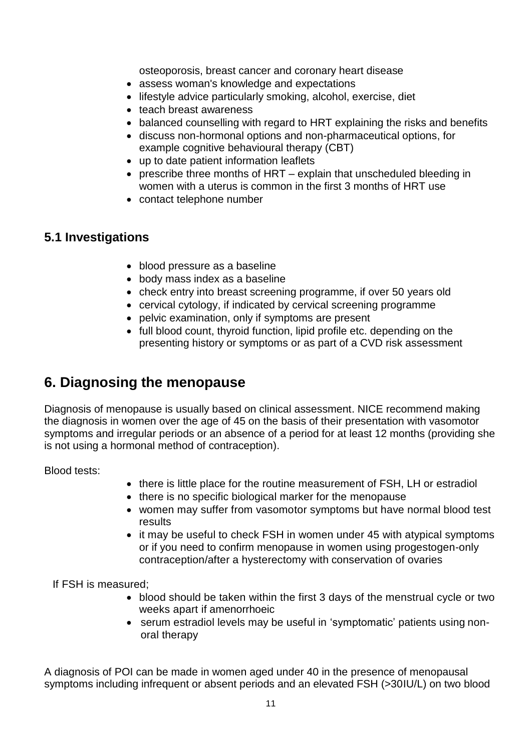osteoporosis, breast cancer and coronary heart disease

- assess woman's knowledge and expectations
- lifestyle advice particularly smoking, alcohol, exercise, diet
- teach breast awareness
- balanced counselling with regard to HRT explaining the risks and benefits
- discuss non-hormonal options and non-pharmaceutical options, for example cognitive behavioural therapy (CBT)
- up to date patient information leaflets
- prescribe three months of HRT explain that unscheduled bleeding in women with a uterus is common in the first 3 months of HRT use
- contact telephone number

#### **5.1 Investigations**

- <span id="page-10-0"></span>• blood pressure as a baseline
- body mass index as a baseline
- check entry into breast screening programme, if over 50 years old
- cervical cytology, if indicated by cervical screening programme
- pelvic examination, only if symptoms are present
- <span id="page-10-1"></span>• full blood count, thyroid function, lipid profile etc. depending on the presenting history or symptoms or as part of a CVD risk assessment

## **6. Diagnosing the menopause**

Diagnosis of menopause is usually based on clinical assessment. NICE recommend making the diagnosis in women over the age of 45 on the basis of their presentation with vasomotor symptoms and irregular periods or an absence of a period for at least 12 months (providing she is not using a hormonal method of contraception).

Blood tests:

- there is little place for the routine measurement of FSH, LH or estradiol
- there is no specific biological marker for the menopause
- women may suffer from vasomotor symptoms but have normal blood test results
- it may be useful to check FSH in women under 45 with atypical symptoms or if you need to confirm menopause in women using progestogen-only contraception/after a hysterectomy with conservation of ovaries

If FSH is measured;

- blood should be taken within the first 3 days of the menstrual cycle or two weeks apart if amenorrhoeic
- serum estradiol levels may be useful in 'symptomatic' patients using nonoral therapy

A diagnosis of POI can be made in women aged under 40 in the presence of menopausal symptoms including infrequent or absent periods and an elevated FSH (>30IU/L) on two blood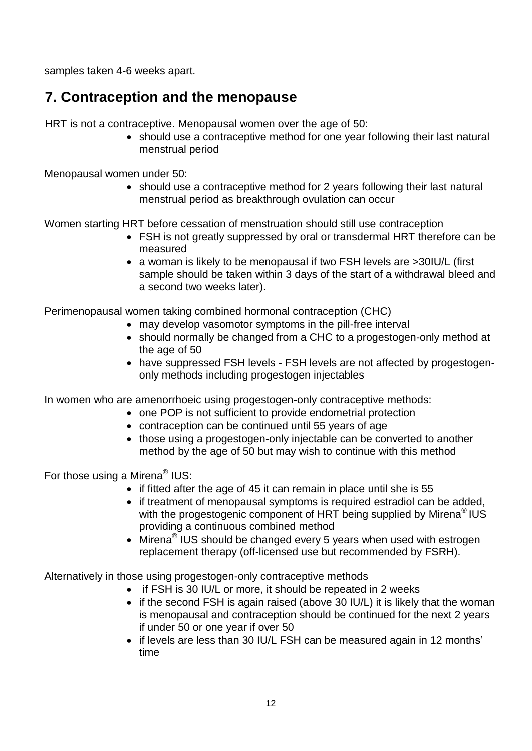samples taken 4-6 weeks apart.

# **7. Contraception and the menopause**

HRT is not a contraceptive. Menopausal women over the age of 50:

<span id="page-11-0"></span>• should use a contraceptive method for one year following their last natural menstrual period

Menopausal women under 50:

• should use a contraceptive method for 2 years following their last natural menstrual period as breakthrough ovulation can occur

Women starting HRT before cessation of menstruation should still use contraception

- FSH is not greatly suppressed by oral or transdermal HRT therefore can be measured
- a woman is likely to be menopausal if two FSH levels are >30IU/L (first sample should be taken within 3 days of the start of a withdrawal bleed and a second two weeks later).

Perimenopausal women taking combined hormonal contraception (CHC)

- may develop vasomotor symptoms in the pill-free interval
- should normally be changed from a CHC to a progestogen-only method at the age of 50
- have suppressed FSH levels FSH levels are not affected by progestogenonly methods including progestogen injectables

In women who are amenorrhoeic using progestogen-only contraceptive methods:

- one POP is not sufficient to provide endometrial protection
- contraception can be continued until 55 years of age
- those using a progestogen-only injectable can be converted to another method by the age of 50 but may wish to continue with this method

For those using a Mirena<sup>®</sup> IUS:

- if fitted after the age of 45 it can remain in place until she is 55
- if treatment of menopausal symptoms is required estradiol can be added, with the progestogenic component of HRT being supplied by Mirena<sup>®</sup> IUS providing a continuous combined method
- Mirena<sup>®</sup> IUS should be changed every 5 years when used with estrogen replacement therapy (off-licensed use but recommended by FSRH).

Alternatively in those using progestogen-only contraceptive methods

- if FSH is 30 IU/L or more, it should be repeated in 2 weeks
- if the second FSH is again raised (above 30 IU/L) it is likely that the woman is menopausal and contraception should be continued for the next 2 years if under 50 or one year if over 50
- if levels are less than 30 IU/L FSH can be measured again in 12 months' time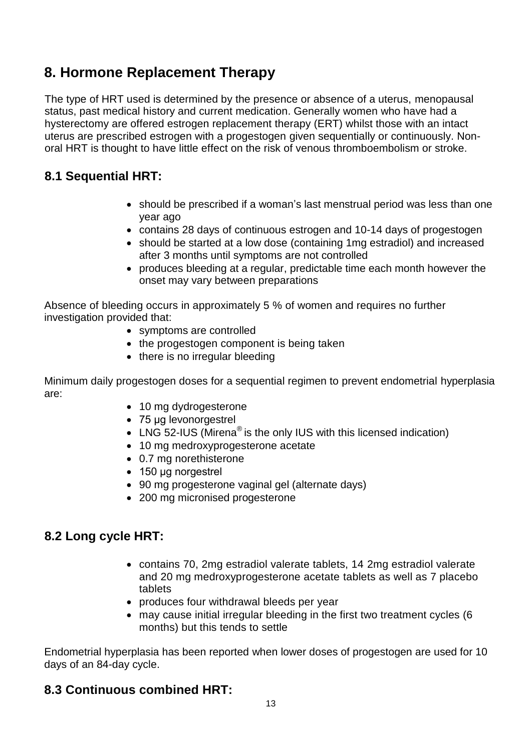# <span id="page-12-0"></span>**8. Hormone Replacement Therapy**

The type of HRT used is determined by the presence or absence of a uterus, menopausal status, past medical history and current medication. Generally women who have had a hysterectomy are offered estrogen replacement therapy (ERT) whilst those with an intact uterus are prescribed estrogen with a progestogen given sequentially or continuously. Nonoral HRT is thought to have little effect on the risk of venous thromboembolism or stroke.

## **8.1 Sequential HRT:**

- <span id="page-12-1"></span>• should be prescribed if a woman's last menstrual period was less than one year ago
- contains 28 days of continuous estrogen and 10-14 days of progestogen
- should be started at a low dose (containing 1mg estradiol) and increased after 3 months until symptoms are not controlled
- produces bleeding at a regular, predictable time each month however the onset may vary between preparations

Absence of bleeding occurs in approximately 5 % of women and requires no further investigation provided that:

- symptoms are controlled
- the progestogen component is being taken
- there is no irregular bleeding

Minimum daily progestogen doses for a sequential regimen to prevent endometrial hyperplasia are:

- 10 mg dydrogesterone
- 75 µg levonorgestrel
- LNG 52-IUS (Mirena<sup>®</sup> is the only IUS with this licensed indication)
- 10 mg medroxyprogesterone acetate
- 0.7 mg norethisterone
- 150 µg norgestrel
- 90 mg progesterone vaginal gel (alternate days)
- 200 mg micronised progesterone

## **8.2 Long cycle HRT:**

- <span id="page-12-2"></span> contains 70, 2mg estradiol valerate tablets, 14 2mg estradiol valerate and 20 mg medroxyprogesterone acetate tablets as well as 7 placebo tablets
- produces four withdrawal bleeds per year
- <span id="page-12-3"></span> may cause initial irregular bleeding in the first two treatment cycles (6 months) but this tends to settle

Endometrial hyperplasia has been reported when lower doses of progestogen are used for 10 days of an 84-day cycle.

#### **8.3 Continuous combined HRT:**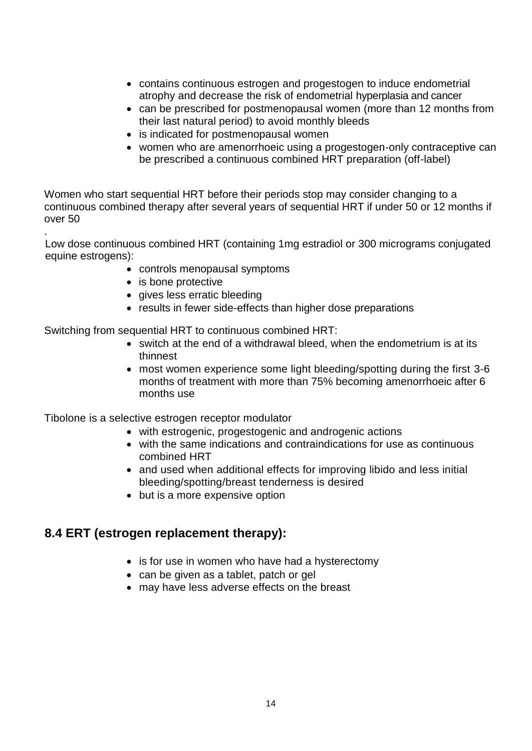- contains continuous estrogen and progestogen to induce endometrial atrophy and decrease the risk of endometrial hyperplasia and cancer
- can be prescribed for postmenopausal women (more than 12 months from their last natural period) to avoid monthly bleeds
- is indicated for postmenopausal women
- women who are amenorrhoeic using a progestogen-only contraceptive can be prescribed a continuous combined HRT preparation (off-label)

Women who start sequential HRT before their periods stop may consider changing to a continuous combined therapy after several years of sequential HRT if under 50 or 12 months if over 50

. Low dose continuous combined HRT (containing 1mg estradiol or 300 micrograms conjugated equine estrogens):

- controls menopausal symptoms
- is bone protective
- gives less erratic bleeding
- results in fewer side-effects than higher dose preparations

Switching from sequential HRT to continuous combined HRT:

- switch at the end of a withdrawal bleed, when the endometrium is at its thinnest
- most women experience some light bleeding/spotting during the first 3-6 months of treatment with more than 75% becoming amenorrhoeic after 6 months use

Tibolone is a selective estrogen receptor modulator

- with estrogenic, progestogenic and androgenic actions
- with the same indications and contraindications for use as continuous combined HRT
- and used when additional effects for improving libido and less initial bleeding/spotting/breast tenderness is desired
- but is a more expensive option

#### **8.4 ERT (estrogen replacement therapy):**

- <span id="page-13-0"></span>• is for use in women who have had a hysterectomy
- can be given as a tablet, patch or gel
- may have less adverse effects on the breast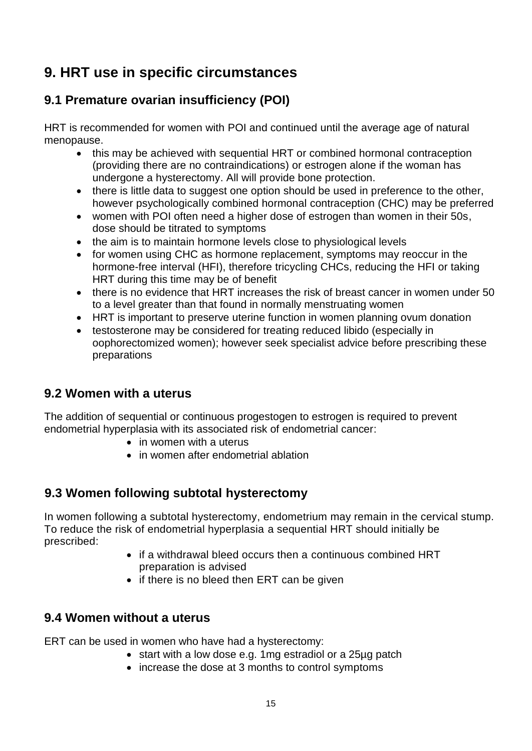# **9. HRT use in specific circumstances**

## **9.1 Premature ovarian insufficiency (POI)**

HRT is recommended for women with POI and continued until the average age of natural menopause.

- <span id="page-14-0"></span>• this may be achieved with sequential HRT or combined hormonal contraception (providing there are no contraindications) or estrogen alone if the woman has undergone a hysterectomy. All will provide bone protection.
- there is little data to suggest one option should be used in preference to the other, however psychologically combined hormonal contraception (CHC) may be preferred
- women with POI often need a higher dose of estrogen than women in their 50s, dose should be titrated to symptoms
- the aim is to maintain hormone levels close to physiological levels
- for women using CHC as hormone replacement, symptoms may reoccur in the hormone-free interval (HFI), therefore tricycling CHCs, reducing the HFI or taking HRT during this time may be of benefit
- there is no evidence that HRT increases the risk of breast cancer in women under 50 to a level greater than that found in normally menstruating women
- HRT is important to preserve uterine function in women planning ovum donation
- testosterone may be considered for treating reduced libido (especially in oophorectomized women); however seek specialist advice before prescribing these preparations

## **9.2 Women with a uterus**

The addition of sequential or continuous progestogen to estrogen is required to prevent endometrial hyperplasia with its associated risk of endometrial cancer:

- <span id="page-14-1"></span>• in women with a uterus
- <span id="page-14-2"></span>• in women after endometrial ablation

## **9.3 Women following subtotal hysterectomy**

In women following a subtotal hysterectomy, endometrium may remain in the cervical stump. To reduce the risk of endometrial hyperplasia a sequential HRT should initially be prescribed:

- if a withdrawal bleed occurs then a continuous combined HRT preparation is advised
- <span id="page-14-3"></span>• if there is no bleed then ERT can be given

## **9.4 Women without a uterus**

ERT can be used in women who have had a hysterectomy:

- start with a low dose e.g. 1mg estradiol or a 25µg patch
- increase the dose at 3 months to control symptoms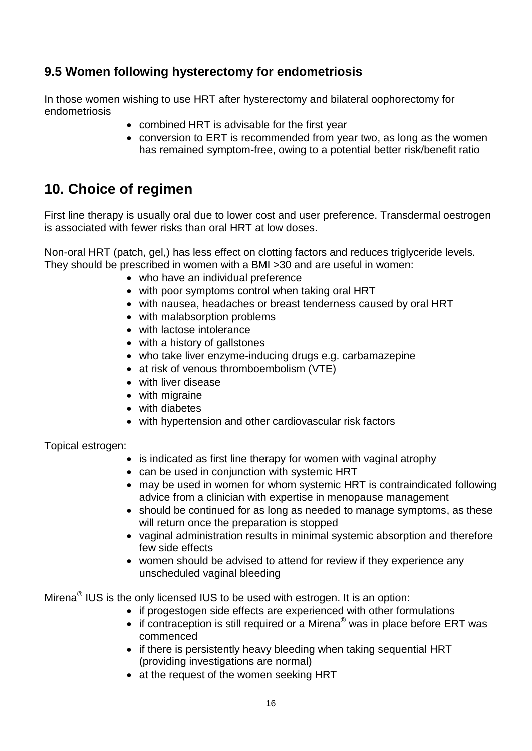## **9.5 Women following hysterectomy for endometriosis**

In those women wishing to use HRT after hysterectomy and bilateral oophorectomy for endometriosis

- <span id="page-15-0"></span>• combined HRT is advisable for the first year
- <span id="page-15-1"></span> conversion to ERT is recommended from year two, as long as the women has remained symptom-free, owing to a potential better risk/benefit ratio

# **10. Choice of regimen**

First line therapy is usually oral due to lower cost and user preference. Transdermal oestrogen is associated with fewer risks than oral HRT at low doses.

Non-oral HRT (patch, gel,) has less effect on clotting factors and reduces triglyceride levels. They should be prescribed in women with a BMI >30 and are useful in women:

- who have an individual preference
- with poor symptoms control when taking oral HRT
- with nausea, headaches or breast tenderness caused by oral HRT
- with malabsorption problems
- with lactose intolerance
- with a history of gallstones
- who take liver enzyme-inducing drugs e.g. carbamazepine
- at risk of venous thromboembolism (VTE)
- with liver disease
- with migraine
- with diabetes
- with hypertension and other cardiovascular risk factors

Topical estrogen:

- is indicated as first line therapy for women with vaginal atrophy
- can be used in conjunction with systemic HRT
- may be used in women for whom systemic HRT is contraindicated following advice from a clinician with expertise in menopause management
- should be continued for as long as needed to manage symptoms, as these will return once the preparation is stopped
- vaginal administration results in minimal systemic absorption and therefore few side effects
- women should be advised to attend for review if they experience any unscheduled vaginal bleeding

Mirena $^{\circledR}$  IUS is the only licensed IUS to be used with estrogen. It is an option:

- if progestogen side effects are experienced with other formulations
- $\bullet$  if contraception is still required or a Mirena® was in place before ERT was commenced
- if there is persistently heavy bleeding when taking sequential HRT (providing investigations are normal)
- at the request of the women seeking HRT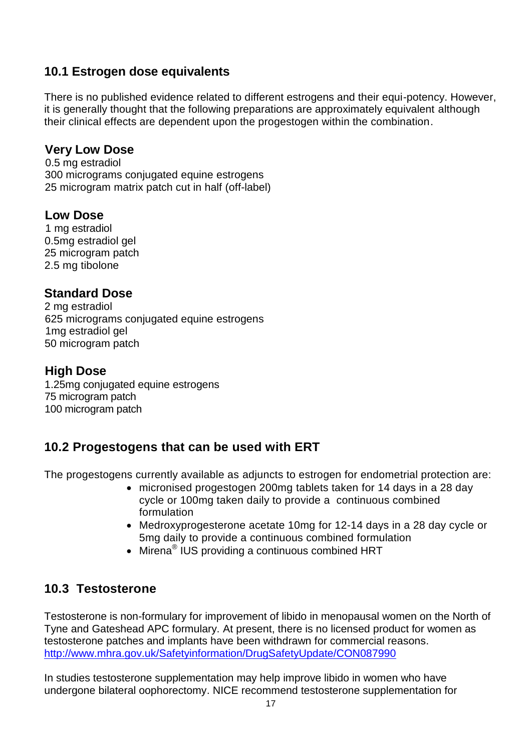## <span id="page-16-0"></span>**10.1 Estrogen dose equivalents**

There is no published evidence related to different estrogens and their equi-potency. However, it is generally thought that the following preparations are approximately equivalent although their clinical effects are dependent upon the progestogen within the combination.

#### **Very Low Dose**

0.5 mg estradiol 300 micrograms conjugated equine estrogens 25 microgram matrix patch cut in half (off-label)

## **Low Dose**

1 mg estradiol 0.5mg estradiol gel 25 microgram patch 2.5 mg tibolone

## **Standard Dose**

 mg estradiol micrograms conjugated equine estrogens 1mg estradiol gel microgram patch

## **High Dose**

1.25mg conjugated equine estrogens 75 microgram patch 100 microgram patch

## **10.2 Progestogens that can be used with ERT**

The progestogens currently available as adjuncts to estrogen for endometrial protection are:

- <span id="page-16-1"></span> micronised progestogen 200mg tablets taken for 14 days in a 28 day cycle or 100mg taken daily to provide a continuous combined formulation
- Medroxyprogesterone acetate 10mg for 12-14 days in a 28 day cycle or 5mg daily to provide a continuous combined formulation
- <span id="page-16-2"></span>• Mirena<sup>®</sup> IUS providing a continuous combined HRT

## **10.3 Testosterone**

Testosterone is non-formulary for improvement of libido in menopausal women on the North of Tyne and Gateshead APC formulary. At present, there is no licensed product for women as testosterone patches and implants have been withdrawn for commercial reasons. <http://www.mhra.gov.uk/Safetyinformation/DrugSafetyUpdate/CON087990>

In studies testosterone supplementation may help improve libido in women who have undergone bilateral oophorectomy. NICE recommend testosterone supplementation for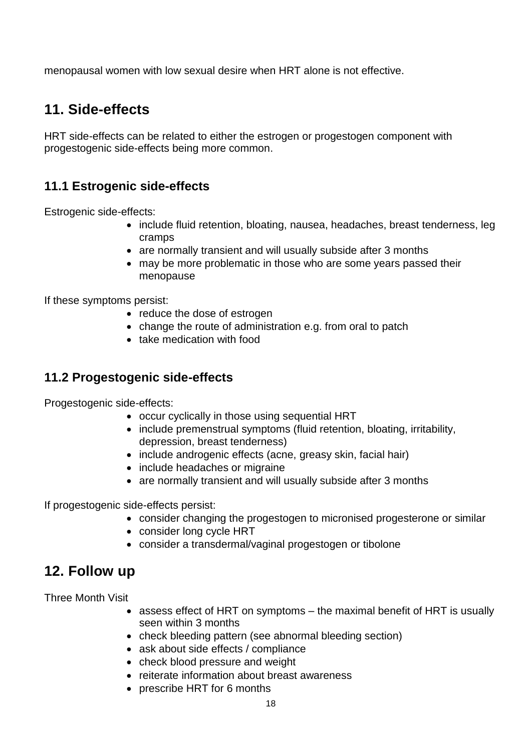menopausal women with low sexual desire when HRT alone is not effective.

# <span id="page-17-0"></span>**11. Side-effects**

HRT side-effects can be related to either the estrogen or progestogen component with progestogenic side-effects being more common.

## **11.1 Estrogenic side-effects**

Estrogenic side-effects:

- <span id="page-17-1"></span>• include fluid retention, bloating, nausea, headaches, breast tenderness, leg cramps
- are normally transient and will usually subside after 3 months
- may be more problematic in those who are some years passed their menopause

If these symptoms persist:

- reduce the dose of estrogen
- change the route of administration e.g. from oral to patch
- <span id="page-17-2"></span>• take medication with food

## **11.2 Progestogenic side-effects**

Progestogenic side-effects:

- occur cyclically in those using sequential HRT
- include premenstrual symptoms (fluid retention, bloating, irritability, depression, breast tenderness)
- include androgenic effects (acne, greasy skin, facial hair)
- include headaches or migraine
- are normally transient and will usually subside after 3 months

If progestogenic side-effects persist:

- consider changing the progestogen to micronised progesterone or similar
- consider long cycle HRT
- <span id="page-17-3"></span>consider a transdermal/vaginal progestogen or tibolone

## **12. Follow up**

Three Month Visit

- assess effect of HRT on symptoms the maximal benefit of HRT is usually seen within 3 months
- check bleeding pattern (see abnormal bleeding section)
- ask about side effects / compliance
- check blood pressure and weight
- reiterate information about breast awareness
- prescribe HRT for 6 months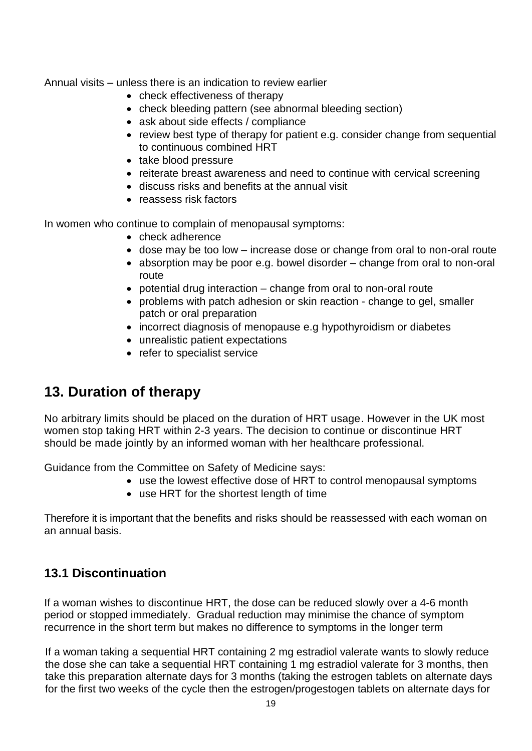Annual visits – unless there is an indication to review earlier

- check effectiveness of therapy
- check bleeding pattern (see abnormal bleeding section)
- ask about side effects / compliance
- review best type of therapy for patient e.g. consider change from sequential to continuous combined HRT
- take blood pressure
- reiterate breast awareness and need to continue with cervical screening
- discuss risks and benefits at the annual visit
- reassess risk factors

In women who continue to complain of menopausal symptoms:

- check adherence
- dose may be too low increase dose or change from oral to non-oral route
- absorption may be poor e.g. bowel disorder change from oral to non-oral route
- potential drug interaction change from oral to non-oral route
- problems with patch adhesion or skin reaction change to gel, smaller patch or oral preparation
- incorrect diagnosis of menopause e.g hypothyroidism or diabetes
- unrealistic patient expectations
- <span id="page-18-0"></span>• refer to specialist service

# **13. Duration of therapy**

No arbitrary limits should be placed on the duration of HRT usage. However in the UK most women stop taking HRT within 2-3 years. The decision to continue or discontinue HRT should be made jointly by an informed woman with her healthcare professional.

Guidance from the Committee on Safety of Medicine says:

- use the lowest effective dose of HRT to control menopausal symptoms
- use HRT for the shortest length of time

Therefore it is important that the benefits and risks should be reassessed with each woman on an annual basis.

## <span id="page-18-1"></span>**13.1 Discontinuation**

If a woman wishes to discontinue HRT, the dose can be reduced slowly over a 4-6 month period or stopped immediately. Gradual reduction may minimise the chance of symptom recurrence in the short term but makes no difference to symptoms in the longer term

If a woman taking a sequential HRT containing 2 mg estradiol valerate wants to slowly reduce the dose she can take a sequential HRT containing 1 mg estradiol valerate for 3 months, then take this preparation alternate days for 3 months (taking the estrogen tablets on alternate days for the first two weeks of the cycle then the estrogen/progestogen tablets on alternate days for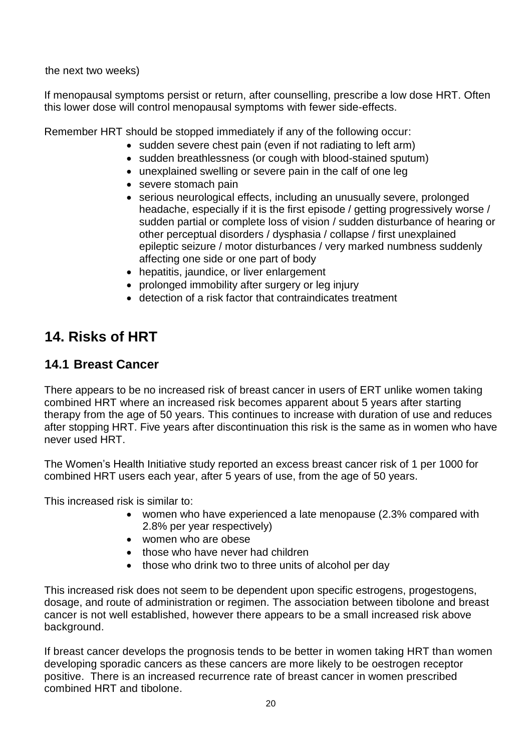the next two weeks)

If menopausal symptoms persist or return, after counselling, prescribe a low dose HRT. Often this lower dose will control menopausal symptoms with fewer side-effects.

Remember HRT should be stopped immediately if any of the following occur:

- sudden severe chest pain (even if not radiating to left arm)
- sudden breathlessness (or cough with blood-stained sputum)
- unexplained swelling or severe pain in the calf of one leg
- severe stomach pain
- serious neurological effects, including an unusually severe, prolonged headache, especially if it is the first episode / getting progressively worse / sudden partial or complete loss of vision / sudden disturbance of hearing or other perceptual disorders / dysphasia / collapse / first unexplained epileptic seizure / motor disturbances / very marked numbness suddenly affecting one side or one part of body
- hepatitis, jaundice, or liver enlargement
- prolonged immobility after surgery or leg injury
- <span id="page-19-1"></span><span id="page-19-0"></span>detection of a risk factor that contraindicates treatment

# **14. Risks of HRT**

## **14.1 Breast Cancer**

There appears to be no increased risk of breast cancer in users of ERT unlike women taking combined HRT where an increased risk becomes apparent about 5 years after starting therapy from the age of 50 years. This continues to increase with duration of use and reduces after stopping HRT. Five years after discontinuation this risk is the same as in women who have never used HRT.

The Women's Health Initiative study reported an excess breast cancer risk of 1 per 1000 for combined HRT users each year, after 5 years of use, from the age of 50 years.

This increased risk is similar to:

- women who have experienced a late menopause (2.3% compared with 2.8% per year respectively)
- women who are obese
- those who have never had children
- those who drink two to three units of alcohol per day

This increased risk does not seem to be dependent upon specific estrogens, progestogens, dosage, and route of administration or regimen. The association between tibolone and breast cancer is not well established, however there appears to be a small increased risk above background.

If breast cancer develops the prognosis tends to be better in women taking HRT than women developing sporadic cancers as these cancers are more likely to be oestrogen receptor positive. There is an increased recurrence rate of breast cancer in women prescribed combined HRT and tibolone.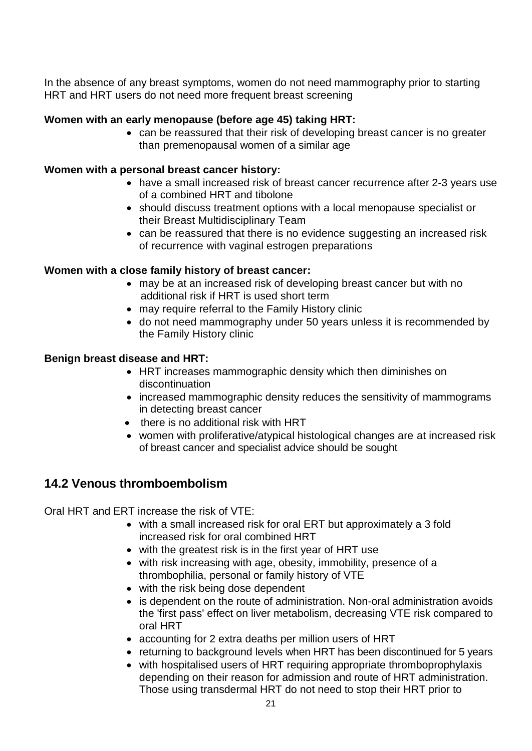In the absence of any breast symptoms, women do not need mammography prior to starting HRT and HRT users do not need more frequent breast screening

#### **Women with an early menopause (before age 45) taking HRT:**

 can be reassured that their risk of developing breast cancer is no greater than premenopausal women of a similar age

#### **Women with a personal breast cancer history:**

- have a small increased risk of breast cancer recurrence after 2-3 years use of a combined HRT and tibolone
- should discuss treatment options with a local menopause specialist or their Breast Multidisciplinary Team
- can be reassured that there is no evidence suggesting an increased risk of recurrence with vaginal estrogen preparations

#### **Women with a close family history of breast cancer:**

- may be at an increased risk of developing breast cancer but with no additional risk if HRT is used short term
- may require referral to the Family History clinic
- do not need mammography under 50 years unless it is recommended by the Family History clinic

#### **Benign breast disease and HRT:**

- HRT increases mammographic density which then diminishes on discontinuation
- increased mammographic density reduces the sensitivity of mammograms in detecting breast cancer
- there is no additional risk with HRT
- women with proliferative/atypical histological changes are at increased risk of breast cancer and specialist advice should be sought

#### **14.2 Venous thromboembolism**

Oral HRT and ERT increase the risk of VTE:

- <span id="page-20-0"></span>• with a small increased risk for oral ERT but approximately a 3 fold increased risk for oral combined HRT
- with the greatest risk is in the first year of HRT use
- with risk increasing with age, obesity, immobility, presence of a thrombophilia, personal or family history of VTE
- with the risk being dose dependent
- is dependent on the route of administration. Non-oral administration avoids the 'first pass' effect on liver metabolism, decreasing VTE risk compared to oral HRT
- accounting for 2 extra deaths per million users of HRT
- returning to background levels when HRT has been discontinued for 5 years
- with hospitalised users of HRT requiring appropriate thromboprophylaxis depending on their reason for admission and route of HRT administration. Those using transdermal HRT do not need to stop their HRT prior to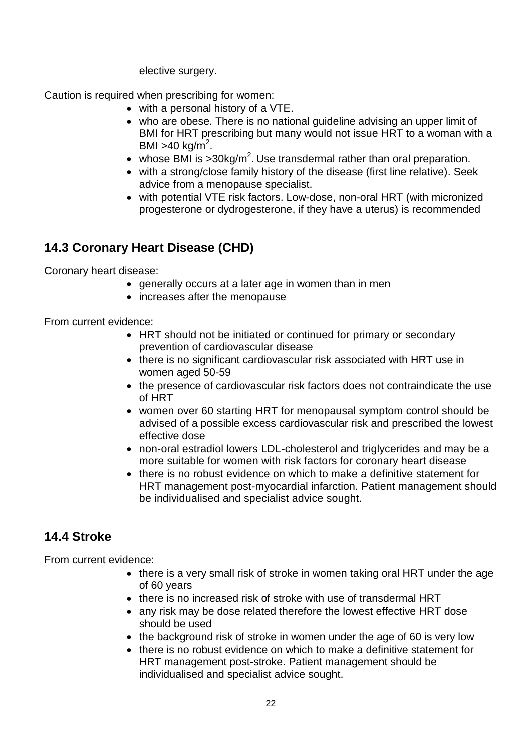elective surgery.

Caution is required when prescribing for women:

- with a personal history of a VTE.
- who are obese. There is no national guideline advising an upper limit of BMI for HRT prescribing but many would not issue HRT to a woman with a BMI >40 kg/m<sup>2</sup>.
- whose BMI is  $>30$ kg/m<sup>2</sup>. Use transdermal rather than oral preparation.
- with a strong/close family history of the disease (first line relative). Seek advice from a menopause specialist.
- with potential VTE risk factors. Low-dose, non-oral HRT (with micronized progesterone or dydrogesterone, if they have a uterus) is recommended

## **14.3 Coronary Heart Disease (CHD)**

Coronary heart disease:

- <span id="page-21-0"></span>generally occurs at a later age in women than in men
- increases after the menopause

From current evidence:

- HRT should not be initiated or continued for primary or secondary prevention of cardiovascular disease
- there is no significant cardiovascular risk associated with HRT use in women aged 50-59
- the presence of cardiovascular risk factors does not contraindicate the use of HRT
- women over 60 starting HRT for menopausal symptom control should be advised of a possible excess cardiovascular risk and prescribed the lowest effective dose
- non-oral estradiol lowers LDL-cholesterol and triglycerides and may be a more suitable for women with risk factors for coronary heart disease
- there is no robust evidence on which to make a definitive statement for HRT management post-myocardial infarction. Patient management should be individualised and specialist advice sought.

## **14.4 Stroke**

From current evidence:

- <span id="page-21-1"></span>• there is a very small risk of stroke in women taking oral HRT under the age of 60 years
- there is no increased risk of stroke with use of transdermal HRT
- any risk may be dose related therefore the lowest effective HRT dose should be used
- the background risk of stroke in women under the age of 60 is very low
- there is no robust evidence on which to make a definitive statement for HRT management post-stroke. Patient management should be individualised and specialist advice sought.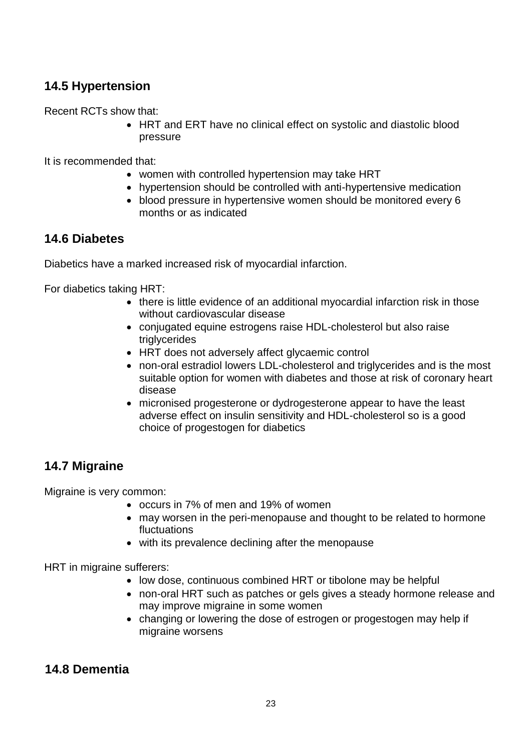## **14.5 Hypertension**

Recent RCTs show that:

<span id="page-22-0"></span> HRT and ERT have no clinical effect on systolic and diastolic blood pressure

It is recommended that:

- women with controlled hypertension may take HRT
- hypertension should be controlled with anti-hypertensive medication
- <span id="page-22-1"></span> blood pressure in hypertensive women should be monitored every 6 months or as indicated

## **14.6 Diabetes**

Diabetics have a marked increased risk of myocardial infarction.

For diabetics taking HRT:

- there is little evidence of an additional myocardial infarction risk in those without cardiovascular disease
- conjugated equine estrogens raise HDL-cholesterol but also raise triglycerides
- HRT does not adversely affect glycaemic control
- non-oral estradiol lowers LDL-cholesterol and triglycerides and is the most suitable option for women with diabetes and those at risk of coronary heart disease
- micronised progesterone or dydrogesterone appear to have the least adverse effect on insulin sensitivity and HDL-cholesterol so is a good choice of progestogen for diabetics

## **14.7 Migraine**

Migraine is very common:

- <span id="page-22-2"></span>occurs in 7% of men and 19% of women
- may worsen in the peri-menopause and thought to be related to hormone fluctuations
- with its prevalence declining after the menopause

HRT in migraine sufferers:

- low dose, continuous combined HRT or tibolone may be helpful
- non-oral HRT such as patches or gels gives a steady hormone release and may improve migraine in some women
- <span id="page-22-3"></span>• changing or lowering the dose of estrogen or progestogen may help if migraine worsens

## **14.8 Dementia**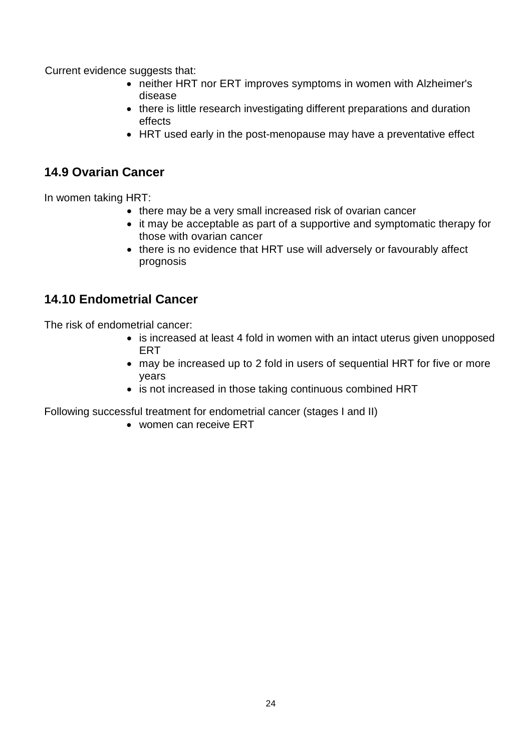Current evidence suggests that:

- neither HRT nor ERT improves symptoms in women with Alzheimer's disease
- there is little research investigating different preparations and duration effects
- <span id="page-23-0"></span>HRT used early in the post-menopause may have a preventative effect

## **14.9 Ovarian Cancer**

In women taking HRT:

- there may be a very small increased risk of ovarian cancer
- it may be acceptable as part of a supportive and symptomatic therapy for those with ovarian cancer
- there is no evidence that HRT use will adversely or favourably affect prognosis

## **14.10 Endometrial Cancer**

The risk of endometrial cancer:

- <span id="page-23-1"></span>• is increased at least 4 fold in women with an intact uterus given unopposed ERT
- may be increased up to 2 fold in users of sequential HRT for five or more years
- is not increased in those taking continuous combined HRT

Following successful treatment for endometrial cancer (stages I and II)

women can receive ERT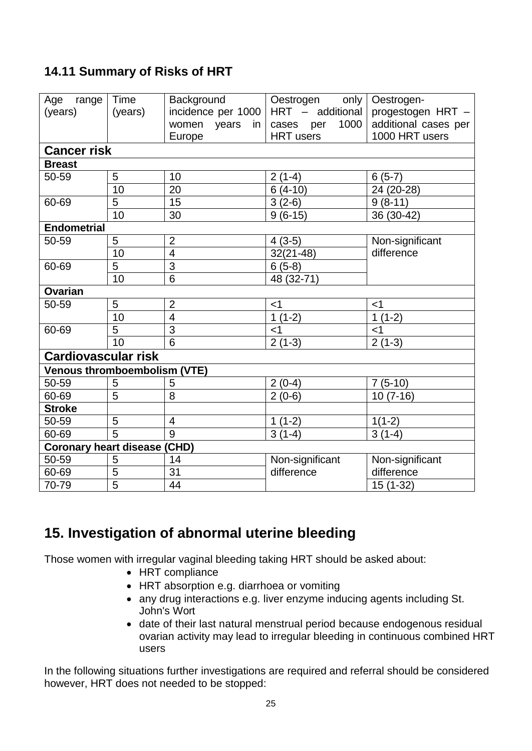## <span id="page-24-0"></span>**14.11 Summary of Risks of HRT**

| Age<br>range                        | Time           | Background              | Oestrogen<br>only | Oestrogen-           |  |
|-------------------------------------|----------------|-------------------------|-------------------|----------------------|--|
| (years)                             | (years)        | incidence per 1000      | HRT - additional  | progestogen HRT -    |  |
|                                     |                | women years<br>in       | 1000<br>cases per | additional cases per |  |
|                                     |                | Europe                  | <b>HRT</b> users  | 1000 HRT users       |  |
| <b>Cancer risk</b>                  |                |                         |                   |                      |  |
| <b>Breast</b>                       |                |                         |                   |                      |  |
| 50-59                               | 5              | 10                      | $2(1-4)$          | $6(5-7)$             |  |
|                                     | 10             | 20                      | $6(4-10)$         | 24 (20-28)           |  |
| 60-69                               | 5              | 15                      | $3(2-6)$          | $9(8-11)$            |  |
|                                     | 10             | 30                      | $9(6-15)$         | 36 (30-42)           |  |
| <b>Endometrial</b>                  |                |                         |                   |                      |  |
| 50-59                               | 5              | $\overline{2}$          | $4(3-5)$          | Non-significant      |  |
|                                     | 10             | $\overline{\mathbf{4}}$ | $32(21-48)$       | difference           |  |
| 60-69                               | $\overline{5}$ | $\overline{3}$          | $6(5-8)$          |                      |  |
|                                     | 10             | $\overline{6}$          | 48 (32-71)        |                      |  |
| <b>Ovarian</b>                      |                |                         |                   |                      |  |
| 50-59                               | 5              | $\overline{2}$          | $<$ 1             | $<$ 1                |  |
|                                     | 10             | $\overline{\mathbf{4}}$ | $1(1-2)$          | $1(1-2)$             |  |
| 60-69                               | 5              | 3                       | $<$ 1             | $<$ 1                |  |
|                                     | 10             | $\overline{6}$          | $2(1-3)$          | $2(1-3)$             |  |
| <b>Cardiovascular risk</b>          |                |                         |                   |                      |  |
| <b>Venous thromboembolism (VTE)</b> |                |                         |                   |                      |  |
| 50-59                               | 5              | 5                       | $2(0-4)$          | $7(5-10)$            |  |
| 60-69                               | 5              | 8                       | $2(0-6)$          | $10(7-16)$           |  |
| <b>Stroke</b>                       |                |                         |                   |                      |  |
| 50-59                               | 5              | $\overline{4}$          | $1(1-2)$          | $1(1-2)$             |  |
| 60-69                               | $\overline{5}$ | 9                       | $3(1-4)$          | $3(1-4)$             |  |
| <b>Coronary heart disease (CHD)</b> |                |                         |                   |                      |  |
| 50-59                               | 5              | 14                      | Non-significant   | Non-significant      |  |
| 60-69                               | $\overline{5}$ | 31                      | difference        | difference           |  |
| 70-79                               | $\overline{5}$ | 44                      |                   | $15(1-32)$           |  |

## **15. Investigation of abnormal uterine bleeding**

Those women with irregular vaginal bleeding taking HRT should be asked about:

- <span id="page-24-1"></span>• HRT compliance
- HRT absorption e.g. diarrhoea or vomiting
- any drug interactions e.g. liver enzyme inducing agents including St. John's Wort
- date of their last natural menstrual period because endogenous residual ovarian activity may lead to irregular bleeding in continuous combined HRT users

In the following situations further investigations are required and referral should be considered however, HRT does not needed to be stopped: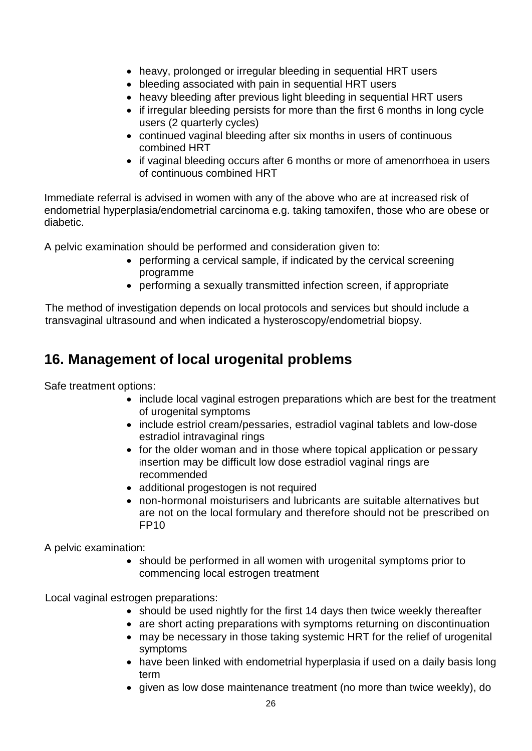- heavy, prolonged or irregular bleeding in sequential HRT users
- bleeding associated with pain in sequential HRT users
- heavy bleeding after previous light bleeding in sequential HRT users
- if irregular bleeding persists for more than the first 6 months in long cycle users (2 quarterly cycles)
- continued vaginal bleeding after six months in users of continuous combined HRT
- if vaginal bleeding occurs after 6 months or more of amenorrhoea in users of continuous combined HRT

Immediate referral is advised in women with any of the above who are at increased risk of endometrial hyperplasia/endometrial carcinoma e.g. taking tamoxifen, those who are obese or diabetic.

A pelvic examination should be performed and consideration given to:

- performing a cervical sample, if indicated by the cervical screening programme
- performing a sexually transmitted infection screen, if appropriate

The method of investigation depends on local protocols and services but should include a transvaginal ultrasound and when indicated a hysteroscopy/endometrial biopsy.

## **16. Management of local urogenital problems**

Safe treatment options:

- <span id="page-25-0"></span>• include local vaginal estrogen preparations which are best for the treatment of urogenital symptoms
- include estriol cream/pessaries, estradiol vaginal tablets and low-dose estradiol intravaginal rings
- for the older woman and in those where topical application or pessary insertion may be difficult low dose estradiol vaginal rings are recommended
- additional progestogen is not required
- non-hormonal moisturisers and lubricants are suitable alternatives but are not on the local formulary and therefore should not be prescribed on FP10

A pelvic examination:

• should be performed in all women with urogenital symptoms prior to commencing local estrogen treatment

Local vaginal estrogen preparations:

- should be used nightly for the first 14 days then twice weekly thereafter
- are short acting preparations with symptoms returning on discontinuation
- may be necessary in those taking systemic HRT for the relief of urogenital symptoms
- have been linked with endometrial hyperplasia if used on a daily basis long term
- given as low dose maintenance treatment (no more than twice weekly), do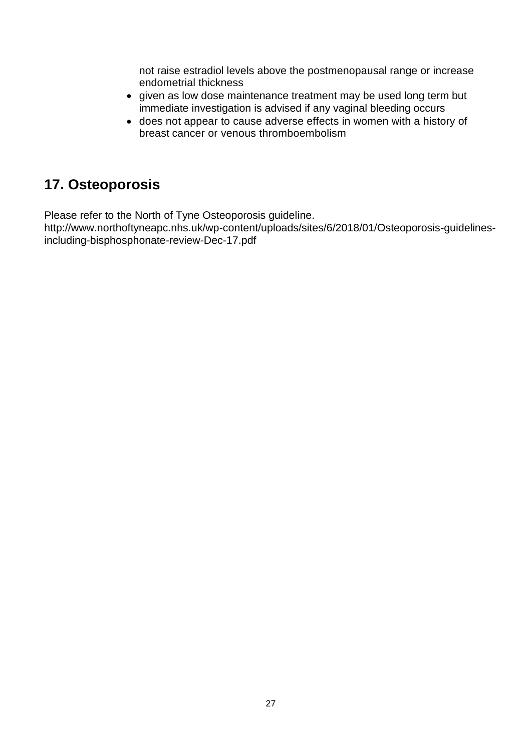not raise estradiol levels above the postmenopausal range or increase endometrial thickness

- given as low dose maintenance treatment may be used long term but immediate investigation is advised if any vaginal bleeding occurs
- does not appear to cause adverse effects in women with a history of breast cancer or venous thromboembolism

## **17. Osteoporosis**

Please refer to the North of Tyne Osteoporosis guideline.

http://www.northoftyneapc.nhs.uk/wp-content/uploads/sites/6/2018/01/Osteoporosis-guidelinesincluding-bisphosphonate-review-Dec-17.pdf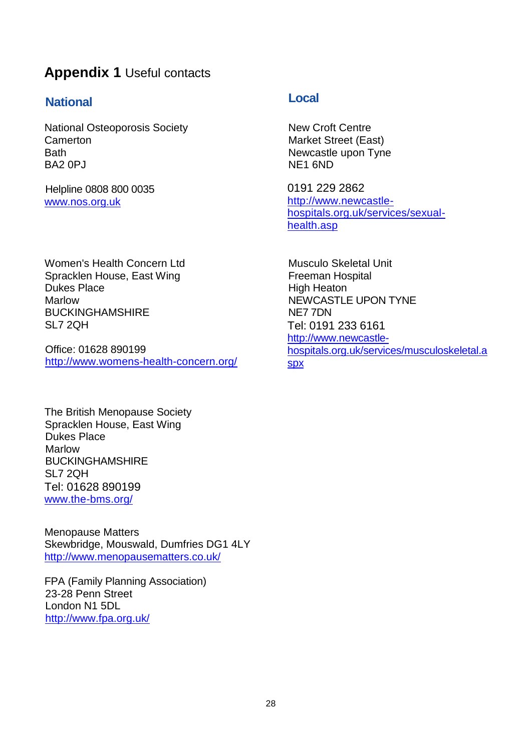## <span id="page-27-0"></span>**Appendix 1** Useful contacts

## **National Local**

National Osteoporosis Society Camerton Bath BA2 0PJ

Helpline 0808 800 0035 [www.nos.org.uk](http://www.nos.org.uk/)

Women's Health Concern Ltd Spracklen House, East Wing Dukes Place Marlow BUCKINGHAMSHIRE SL7 2QH

Office: 01628 890199 <http://www.womens-health-concern.org/>

The British Menopause Society Spracklen House, East Wing Dukes Place Marlow BUCKINGHAMSHIRE SL7 2QH Tel: 01628 890199 [www.the-bms.org/](http://www.the-bms.org/)

Menopause Matters Skewbridge, Mouswald, Dumfries DG1 4LY <http://www.menopausematters.co.uk/>

FPA (Family Planning Association) 23-28 Penn Street London N1 5DL <http://www.fpa.org.uk/>

New Croft Centre Market Street (East) Newcastle upon Tyne NE1 6ND

0191 229 2862 [http://www.newcastle](http://www.newcastle-hospitals.org.uk/services/sexual-health.asp)[hospitals.org.uk/services/sexual](http://www.newcastle-hospitals.org.uk/services/sexual-health.asp)[health.asp](http://www.newcastle-hospitals.org.uk/services/sexual-health.asp)

Musculo Skeletal Unit Freeman Hospital High Heaton NEWCASTLE UPON TYNE NE7 7DN Tel: 0191 233 6161 [http://www.newcastle](http://www.newcastle-hospitals.org.uk/services/musculoskeletal.aspx)[hospitals.org.uk/services/musculoskeletal.a](http://www.newcastle-hospitals.org.uk/services/musculoskeletal.aspx) [spx](http://www.newcastle-hospitals.org.uk/services/musculoskeletal.aspx)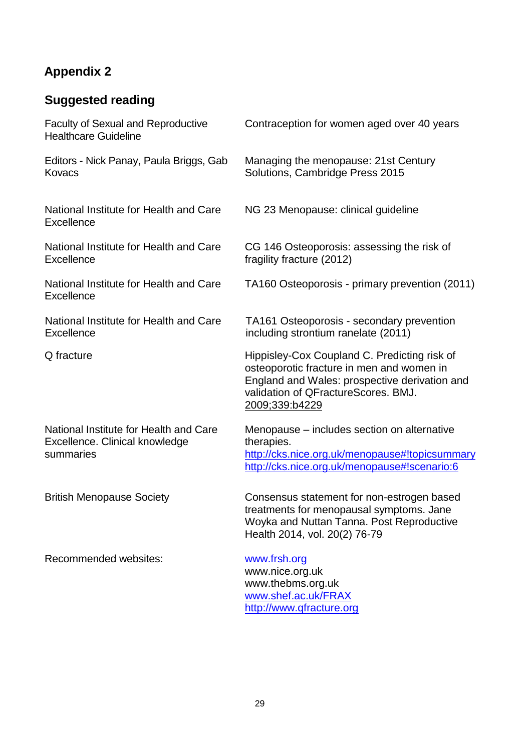# <span id="page-28-0"></span>**Appendix 2**

# **Suggested reading**

| <b>Faculty of Sexual and Reproductive</b><br><b>Healthcare Guideline</b>              | Contraception for women aged over 40 years                                                                                                                                                          |
|---------------------------------------------------------------------------------------|-----------------------------------------------------------------------------------------------------------------------------------------------------------------------------------------------------|
| Editors - Nick Panay, Paula Briggs, Gab<br>Kovacs                                     | Managing the menopause: 21st Century<br>Solutions, Cambridge Press 2015                                                                                                                             |
| National Institute for Health and Care<br><b>Excellence</b>                           | NG 23 Menopause: clinical guideline                                                                                                                                                                 |
| National Institute for Health and Care<br><b>Excellence</b>                           | CG 146 Osteoporosis: assessing the risk of<br>fragility fracture (2012)                                                                                                                             |
| National Institute for Health and Care<br><b>Excellence</b>                           | TA160 Osteoporosis - primary prevention (2011)                                                                                                                                                      |
| National Institute for Health and Care<br><b>Excellence</b>                           | TA161 Osteoporosis - secondary prevention<br>including strontium ranelate (2011)                                                                                                                    |
| Q fracture                                                                            | Hippisley-Cox Coupland C. Predicting risk of<br>osteoporotic fracture in men and women in<br>England and Wales: prospective derivation and<br>validation of QFractureScores. BMJ.<br>2009;339:b4229 |
| National Institute for Health and Care<br>Excellence. Clinical knowledge<br>summaries | Menopause – includes section on alternative<br>therapies.<br>http://cks.nice.org.uk/menopause#!topicsummary<br>http://cks.nice.org.uk/menopause#!scenario:6                                         |
| <b>British Menopause Society</b>                                                      | Consensus statement for non-estrogen based<br>treatments for menopausal symptoms. Jane<br>Woyka and Nuttan Tanna. Post Reproductive<br>Health 2014, vol. 20(2) 76-79                                |
| Recommended websites:                                                                 | www.frsh.org<br>www.nice.org.uk<br>www.thebms.org.uk<br>www.shef.ac.uk/FRAX                                                                                                                         |

[http://www.qfracture.org](http://www.qfracture.org/)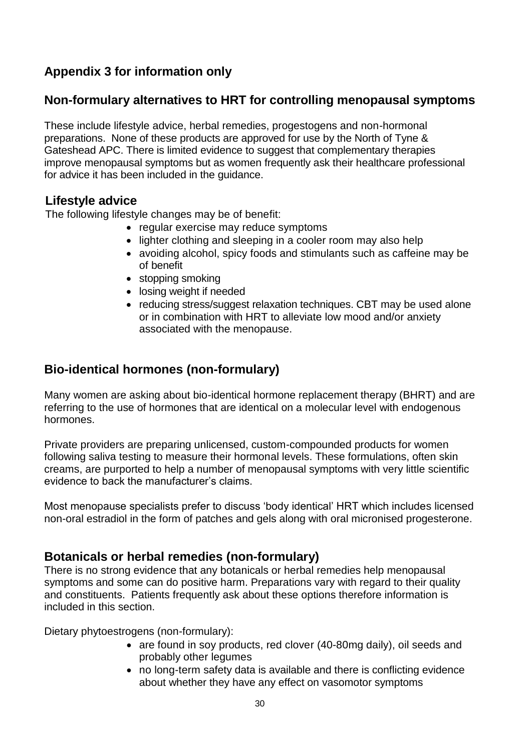## **Appendix 3 for information only**

## **Non-formulary alternatives to HRT for controlling menopausal symptoms**

These include lifestyle advice, herbal remedies, progestogens and non-hormonal preparations. None of these products are approved for use by the North of Tyne & Gateshead APC. There is limited evidence to suggest that complementary therapies improve menopausal symptoms but as women frequently ask their healthcare professional for advice it has been included in the guidance.

#### **Lifestyle advice**

The following lifestyle changes may be of benefit:

- regular exercise may reduce symptoms
- lighter clothing and sleeping in a cooler room may also help
- avoiding alcohol, spicy foods and stimulants such as caffeine may be of benefit
- stopping smoking
- losing weight if needed
- reducing stress/suggest relaxation techniques. CBT may be used alone or in combination with HRT to alleviate low mood and/or anxiety associated with the menopause.

## **Bio-identical hormones (non-formulary)**

Many women are asking about bio-identical hormone replacement therapy (BHRT) and are referring to the use of hormones that are identical on a molecular level with endogenous hormones.

Private providers are preparing unlicensed, custom-compounded products for women following saliva testing to measure their hormonal levels. These formulations, often skin creams, are purported to help a number of menopausal symptoms with very little scientific evidence to back the manufacturer's claims.

Most menopause specialists prefer to discuss 'body identical' HRT which includes licensed non-oral estradiol in the form of patches and gels along with oral micronised progesterone.

## **Botanicals or herbal remedies (non-formulary)**

There is no strong evidence that any botanicals or herbal remedies help menopausal symptoms and some can do positive harm. Preparations vary with regard to their quality and constituents. Patients frequently ask about these options therefore information is included in this section.

Dietary phytoestrogens (non-formulary):

- are found in soy products, red clover (40-80mg daily), oil seeds and probably other legumes
- no long-term safety data is available and there is conflicting evidence about whether they have any effect on vasomotor symptoms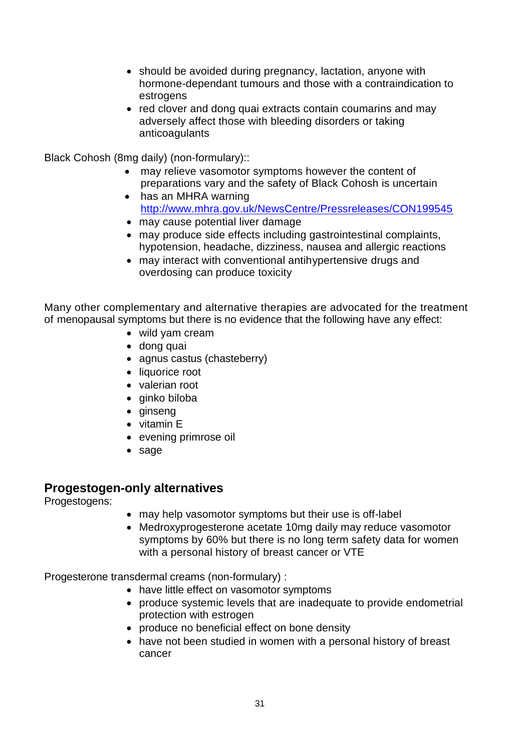- should be avoided during pregnancy, lactation, anyone with hormone-dependant tumours and those with a contraindication to estrogens
- red clover and dong quai extracts contain coumarins and may adversely affect those with bleeding disorders or taking anticoagulants

Black Cohosh (8mg daily) (non-formulary)::

- may relieve vasomotor symptoms however the content of preparations vary and the safety of Black Cohosh is uncertain
- has an MHRA warning <http://www.mhra.gov.uk/NewsCentre/Pressreleases/CON199545>
- may cause potential liver damage
- may produce side effects including gastrointestinal complaints, hypotension, headache, dizziness, nausea and allergic reactions
- may interact with conventional antihypertensive drugs and overdosing can produce toxicity

Many other complementary and alternative therapies are advocated for the treatment of menopausal symptoms but there is no evidence that the following have any effect:

- wild yam cream
- dong quai
- agnus castus (chasteberry)
- liquorice root
- valerian root
- ginko biloba
- qinseng
- vitamin E
- evening primrose oil
- sage

#### **Progestogen-only alternatives**

Progestogens:

- may help vasomotor symptoms but their use is off-label
- Medroxyprogesterone acetate 10mg daily may reduce vasomotor symptoms by 60% but there is no long term safety data for women with a personal history of breast cancer or VTE

Progesterone transdermal creams (non-formulary) :

- have little effect on vasomotor symptoms
- produce systemic levels that are inadequate to provide endometrial protection with estrogen
- produce no beneficial effect on bone density
- have not been studied in women with a personal history of breast cancer